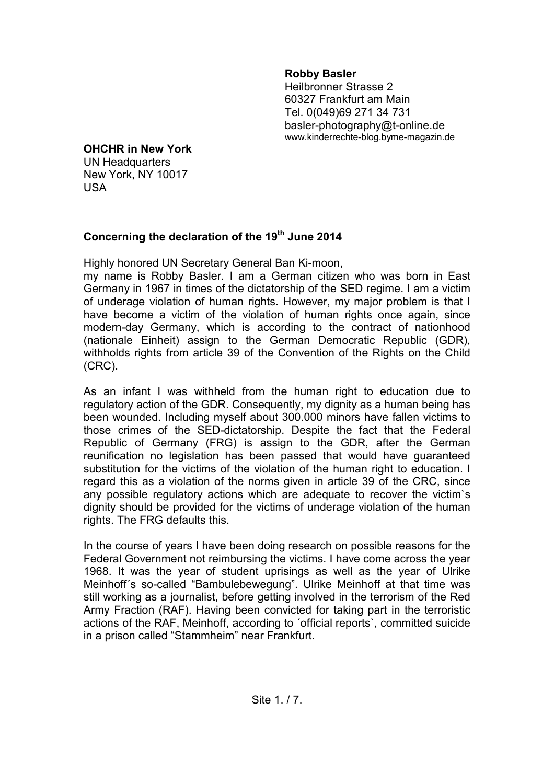## **Robby Basler**

 Heilbronner Strasse 2 60327 Frankfurt am Main Tel. 0(049)69 271 34 731 basler-photography@t-online.de www.kinderrechte-blog.byme-magazin.de

## **OHCHR in New York**

UN Headquarters New York, NY 10017 USA

## **Concerning the declaration of the 19th June 2014**

Highly honored UN Secretary General Ban Ki-moon,

my name is Robby Basler. I am a German citizen who was born in East Germany in 1967 in times of the dictatorship of the SED regime. I am a victim of underage violation of human rights. However, my major problem is that I have become a victim of the violation of human rights once again, since modern-day Germany, which is according to the contract of nationhood (nationale Einheit) assign to the German Democratic Republic (GDR), withholds rights from article 39 of the Convention of the Rights on the Child (CRC).

As an infant I was withheld from the human right to education due to regulatory action of the GDR. Consequently, my dignity as a human being has been wounded. Including myself about 300.000 minors have fallen victims to those crimes of the SED-dictatorship. Despite the fact that the Federal Republic of Germany (FRG) is assign to the GDR, after the German reunification no legislation has been passed that would have guaranteed substitution for the victims of the violation of the human right to education. I regard this as a violation of the norms given in article 39 of the CRC, since any possible regulatory actions which are adequate to recover the victim`s dignity should be provided for the victims of underage violation of the human rights. The FRG defaults this.

In the course of years I have been doing research on possible reasons for the Federal Government not reimbursing the victims. I have come across the year 1968. It was the year of student uprisings as well as the year of Ulrike Meinhoff´s so-called "Bambulebewegung". Ulrike Meinhoff at that time was still working as a journalist, before getting involved in the terrorism of the Red Army Fraction (RAF). Having been convicted for taking part in the terroristic actions of the RAF, Meinhoff, according to ´official reports`, committed suicide in a prison called "Stammheim" near Frankfurt.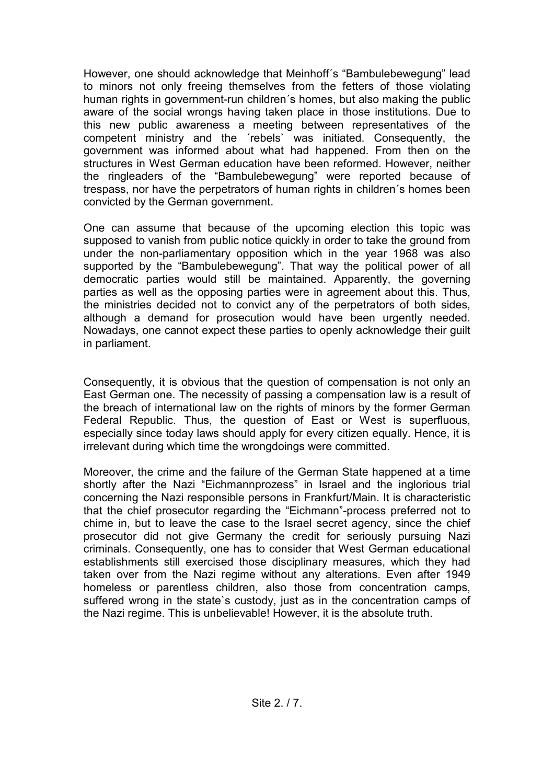However, one should acknowledge that Meinhoff´s "Bambulebewegung" lead to minors not only freeing themselves from the fetters of those violating human rights in government-run children´s homes, but also making the public aware of the social wrongs having taken place in those institutions. Due to this new public awareness a meeting between representatives of the competent ministry and the ´rebels` was initiated. Consequently, the government was informed about what had happened. From then on the structures in West German education have been reformed. However, neither the ringleaders of the "Bambulebewegung" were reported because of trespass, nor have the perpetrators of human rights in children´s homes been convicted by the German government.

One can assume that because of the upcoming election this topic was supposed to vanish from public notice quickly in order to take the ground from under the non-parliamentary opposition which in the year 1968 was also supported by the "Bambulebewegung". That way the political power of all democratic parties would still be maintained. Apparently, the governing parties as well as the opposing parties were in agreement about this. Thus, the ministries decided not to convict any of the perpetrators of both sides, although a demand for prosecution would have been urgently needed. Nowadays, one cannot expect these parties to openly acknowledge their guilt in parliament.

Consequently, it is obvious that the question of compensation is not only an East German one. The necessity of passing a compensation law is a result of the breach of international law on the rights of minors by the former German Federal Republic. Thus, the question of East or West is superfluous, especially since today laws should apply for every citizen equally. Hence, it is irrelevant during which time the wrongdoings were committed.

Moreover, the crime and the failure of the German State happened at a time shortly after the Nazi "Eichmannprozess" in Israel and the inglorious trial concerning the Nazi responsible persons in Frankfurt/Main. It is characteristic that the chief prosecutor regarding the "Eichmann"-process preferred not to chime in, but to leave the case to the Israel secret agency, since the chief prosecutor did not give Germany the credit for seriously pursuing Nazi criminals. Consequently, one has to consider that West German educational establishments still exercised those disciplinary measures, which they had taken over from the Nazi regime without any alterations. Even after 1949 homeless or parentless children, also those from concentration camps, suffered wrong in the state`s custody, just as in the concentration camps of the Nazi regime. This is unbelievable! However, it is the absolute truth.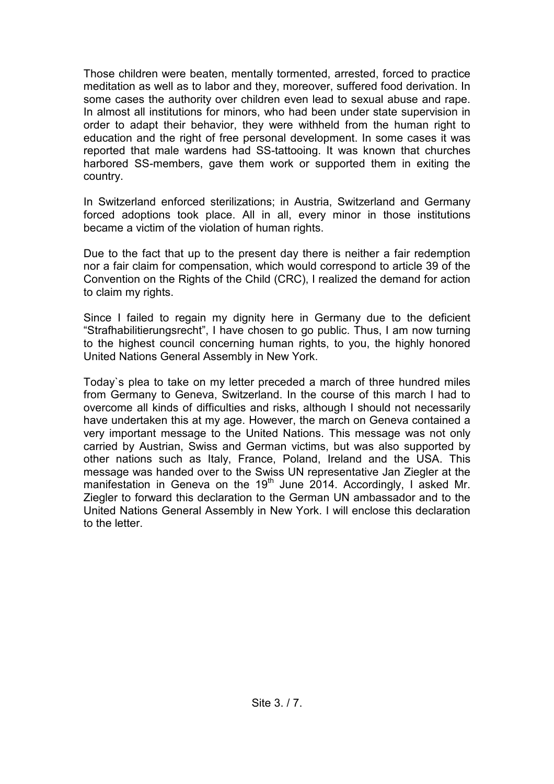Those children were beaten, mentally tormented, arrested, forced to practice meditation as well as to labor and they, moreover, suffered food derivation. In some cases the authority over children even lead to sexual abuse and rape. In almost all institutions for minors, who had been under state supervision in order to adapt their behavior, they were withheld from the human right to education and the right of free personal development. In some cases it was reported that male wardens had SS-tattooing. It was known that churches harbored SS-members, gave them work or supported them in exiting the country.

In Switzerland enforced sterilizations; in Austria, Switzerland and Germany forced adoptions took place. All in all, every minor in those institutions became a victim of the violation of human rights.

Due to the fact that up to the present day there is neither a fair redemption nor a fair claim for compensation, which would correspond to article 39 of the Convention on the Rights of the Child (CRC), I realized the demand for action to claim my rights.

Since I failed to regain my dignity here in Germany due to the deficient "Strafhabilitierungsrecht", I have chosen to go public. Thus, I am now turning to the highest council concerning human rights, to you, the highly honored United Nations General Assembly in New York.

Today`s plea to take on my letter preceded a march of three hundred miles from Germany to Geneva, Switzerland. In the course of this march I had to overcome all kinds of difficulties and risks, although I should not necessarily have undertaken this at my age. However, the march on Geneva contained a very important message to the United Nations. This message was not only carried by Austrian, Swiss and German victims, but was also supported by other nations such as Italy, France, Poland, Ireland and the USA. This message was handed over to the Swiss UN representative Jan Ziegler at the manifestation in Geneva on the  $19<sup>th</sup>$  June 2014. Accordingly, I asked Mr. Ziegler to forward this declaration to the German UN ambassador and to the United Nations General Assembly in New York. I will enclose this declaration to the letter.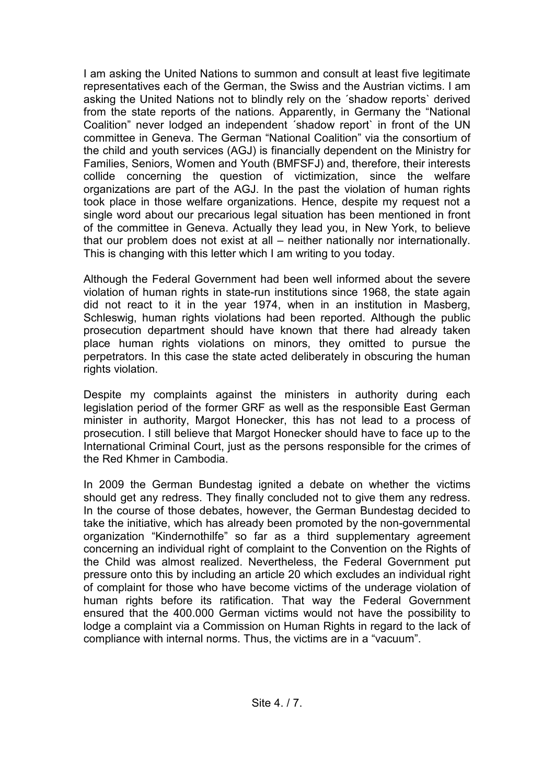I am asking the United Nations to summon and consult at least five legitimate representatives each of the German, the Swiss and the Austrian victims. I am asking the United Nations not to blindly rely on the ´shadow reports` derived from the state reports of the nations. Apparently, in Germany the "National Coalition" never lodged an independent ´shadow report` in front of the UN committee in Geneva. The German "National Coalition" via the consortium of the child and youth services (AGJ) is financially dependent on the Ministry for Families, Seniors, Women and Youth (BMFSFJ) and, therefore, their interests collide concerning the question of victimization, since the welfare organizations are part of the AGJ. In the past the violation of human rights took place in those welfare organizations. Hence, despite my request not a single word about our precarious legal situation has been mentioned in front of the committee in Geneva. Actually they lead you, in New York, to believe that our problem does not exist at all – neither nationally nor internationally. This is changing with this letter which I am writing to you today.

Although the Federal Government had been well informed about the severe violation of human rights in state-run institutions since 1968, the state again did not react to it in the year 1974, when in an institution in Masberg, Schleswig, human rights violations had been reported. Although the public prosecution department should have known that there had already taken place human rights violations on minors, they omitted to pursue the perpetrators. In this case the state acted deliberately in obscuring the human rights violation.

Despite my complaints against the ministers in authority during each legislation period of the former GRF as well as the responsible East German minister in authority, Margot Honecker, this has not lead to a process of prosecution. I still believe that Margot Honecker should have to face up to the International Criminal Court, just as the persons responsible for the crimes of the Red Khmer in Cambodia.

In 2009 the German Bundestag ignited a debate on whether the victims should get any redress. They finally concluded not to give them any redress. In the course of those debates, however, the German Bundestag decided to take the initiative, which has already been promoted by the non-governmental organization "Kindernothilfe" so far as a third supplementary agreement concerning an individual right of complaint to the Convention on the Rights of the Child was almost realized. Nevertheless, the Federal Government put pressure onto this by including an article 20 which excludes an individual right of complaint for those who have become victims of the underage violation of human rights before its ratification. That way the Federal Government ensured that the 400.000 German victims would not have the possibility to lodge a complaint via a Commission on Human Rights in regard to the lack of compliance with internal norms. Thus, the victims are in a "vacuum".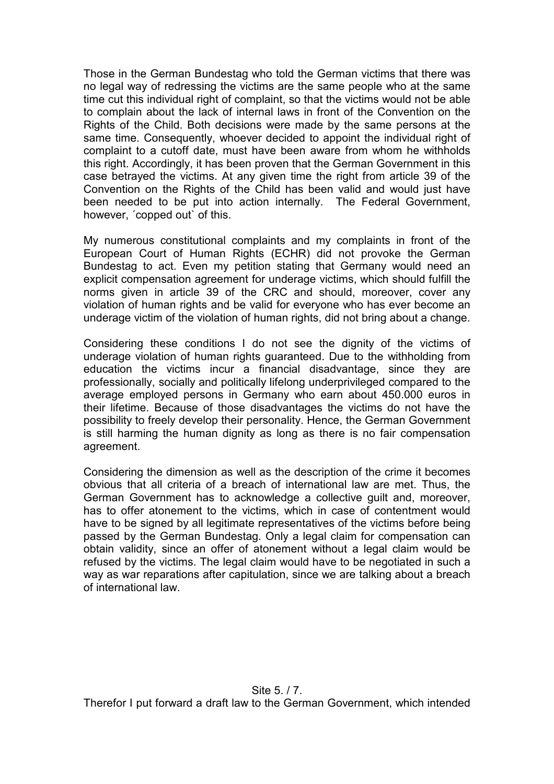Those in the German Bundestag who told the German victims that there was no legal way of redressing the victims are the same people who at the same time cut this individual right of complaint, so that the victims would not be able to complain about the lack of internal laws in front of the Convention on the Rights of the Child. Both decisions were made by the same persons at the same time. Consequently, whoever decided to appoint the individual right of complaint to a cutoff date, must have been aware from whom he withholds this right. Accordingly, it has been proven that the German Government in this case betrayed the victims. At any given time the right from article 39 of the Convention on the Rights of the Child has been valid and would just have been needed to be put into action internally. The Federal Government, however, ´copped out` of this.

My numerous constitutional complaints and my complaints in front of the European Court of Human Rights (ECHR) did not provoke the German Bundestag to act. Even my petition stating that Germany would need an explicit compensation agreement for underage victims, which should fulfill the norms given in article 39 of the CRC and should, moreover, cover any violation of human rights and be valid for everyone who has ever become an underage victim of the violation of human rights, did not bring about a change.

Considering these conditions I do not see the dignity of the victims of underage violation of human rights guaranteed. Due to the withholding from education the victims incur a financial disadvantage, since they are professionally, socially and politically lifelong underprivileged compared to the average employed persons in Germany who earn about 450.000 euros in their lifetime. Because of those disadvantages the victims do not have the possibility to freely develop their personality. Hence, the German Government is still harming the human dignity as long as there is no fair compensation agreement.

Considering the dimension as well as the description of the crime it becomes obvious that all criteria of a breach of international law are met. Thus, the German Government has to acknowledge a collective guilt and, moreover, has to offer atonement to the victims, which in case of contentment would have to be signed by all legitimate representatives of the victims before being passed by the German Bundestag. Only a legal claim for compensation can obtain validity, since an offer of atonement without a legal claim would be refused by the victims. The legal claim would have to be negotiated in such a way as war reparations after capitulation, since we are talking about a breach of international law.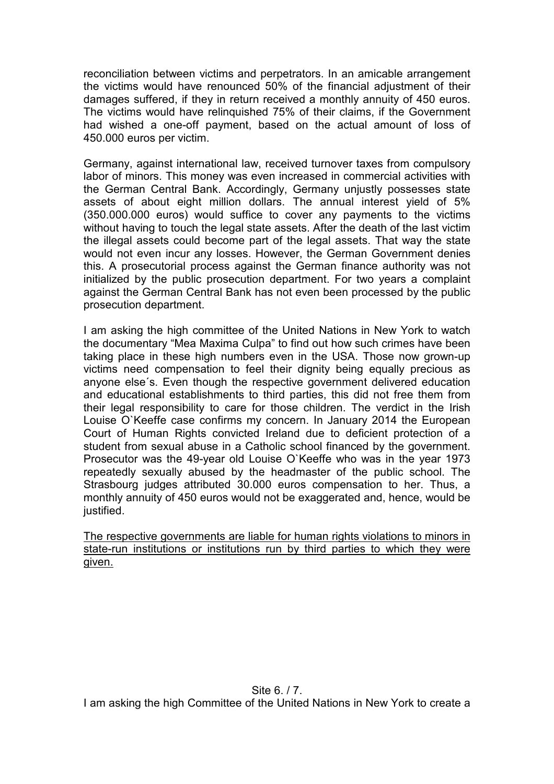reconciliation between victims and perpetrators. In an amicable arrangement the victims would have renounced 50% of the financial adjustment of their damages suffered, if they in return received a monthly annuity of 450 euros. The victims would have relinquished 75% of their claims, if the Government had wished a one-off payment, based on the actual amount of loss of 450.000 euros per victim.

Germany, against international law, received turnover taxes from compulsory labor of minors. This money was even increased in commercial activities with the German Central Bank. Accordingly, Germany unjustly possesses state assets of about eight million dollars. The annual interest yield of 5% (350.000.000 euros) would suffice to cover any payments to the victims without having to touch the legal state assets. After the death of the last victim the illegal assets could become part of the legal assets. That way the state would not even incur any losses. However, the German Government denies this. A prosecutorial process against the German finance authority was not initialized by the public prosecution department. For two years a complaint against the German Central Bank has not even been processed by the public prosecution department.

I am asking the high committee of the United Nations in New York to watch the documentary "Mea Maxima Culpa" to find out how such crimes have been taking place in these high numbers even in the USA. Those now grown-up victims need compensation to feel their dignity being equally precious as anyone else´s. Even though the respective government delivered education and educational establishments to third parties, this did not free them from their legal responsibility to care for those children. The verdict in the Irish Louise O`Keeffe case confirms my concern. In January 2014 the European Court of Human Rights convicted Ireland due to deficient protection of a student from sexual abuse in a Catholic school financed by the government. Prosecutor was the 49-year old Louise O`Keeffe who was in the year 1973 repeatedly sexually abused by the headmaster of the public school. The Strasbourg judges attributed 30.000 euros compensation to her. Thus, a monthly annuity of 450 euros would not be exaggerated and, hence, would be justified.

The respective governments are liable for human rights violations to minors in state-run institutions or institutions run by third parties to which they were given.